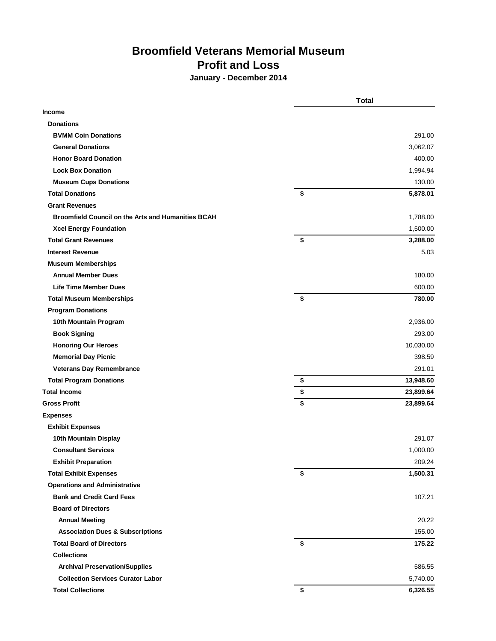## **Broomfield Veterans Memorial Museum Profit and Loss**

**January - December 2014**

|                                                           | <b>Total</b>    |  |
|-----------------------------------------------------------|-----------------|--|
| <b>Income</b>                                             |                 |  |
| <b>Donations</b>                                          |                 |  |
| <b>BVMM Coin Donations</b>                                | 291.00          |  |
| <b>General Donations</b>                                  | 3,062.07        |  |
| <b>Honor Board Donation</b>                               | 400.00          |  |
| <b>Lock Box Donation</b>                                  | 1,994.94        |  |
| <b>Museum Cups Donations</b>                              | 130.00          |  |
| <b>Total Donations</b>                                    | \$<br>5,878.01  |  |
| <b>Grant Revenues</b>                                     |                 |  |
| <b>Broomfield Council on the Arts and Humanities BCAH</b> | 1,788.00        |  |
| <b>Xcel Energy Foundation</b>                             | 1,500.00        |  |
| <b>Total Grant Revenues</b>                               | \$<br>3,288.00  |  |
| <b>Interest Revenue</b>                                   | 5.03            |  |
| <b>Museum Memberships</b>                                 |                 |  |
| <b>Annual Member Dues</b>                                 | 180.00          |  |
| <b>Life Time Member Dues</b>                              | 600.00          |  |
| <b>Total Museum Memberships</b>                           | \$<br>780.00    |  |
| <b>Program Donations</b>                                  |                 |  |
| 10th Mountain Program                                     | 2,936.00        |  |
| <b>Book Signing</b>                                       | 293.00          |  |
| <b>Honoring Our Heroes</b>                                | 10,030.00       |  |
| <b>Memorial Day Picnic</b>                                | 398.59          |  |
| <b>Veterans Day Remembrance</b>                           | 291.01          |  |
| <b>Total Program Donations</b>                            | \$<br>13,948.60 |  |
| <b>Total Income</b>                                       | \$<br>23,899.64 |  |
| <b>Gross Profit</b>                                       | \$<br>23,899.64 |  |
| <b>Expenses</b>                                           |                 |  |
| <b>Exhibit Expenses</b>                                   |                 |  |
| 10th Mountain Display                                     | 291.07          |  |
| <b>Consultant Services</b>                                | 1,000.00        |  |
| <b>Exhibit Preparation</b>                                | 209.24          |  |
| <b>Total Exhibit Expenses</b>                             | \$<br>1,500.31  |  |
| <b>Operations and Administrative</b>                      |                 |  |
| <b>Bank and Credit Card Fees</b>                          | 107.21          |  |
| <b>Board of Directors</b>                                 |                 |  |
| <b>Annual Meeting</b>                                     | 20.22           |  |
| <b>Association Dues &amp; Subscriptions</b>               | 155.00          |  |
| <b>Total Board of Directors</b>                           | \$<br>175.22    |  |
| <b>Collections</b>                                        |                 |  |
| <b>Archival Preservation/Supplies</b>                     | 586.55          |  |
| <b>Collection Services Curator Labor</b>                  | 5,740.00        |  |
| <b>Total Collections</b>                                  | \$<br>6,326.55  |  |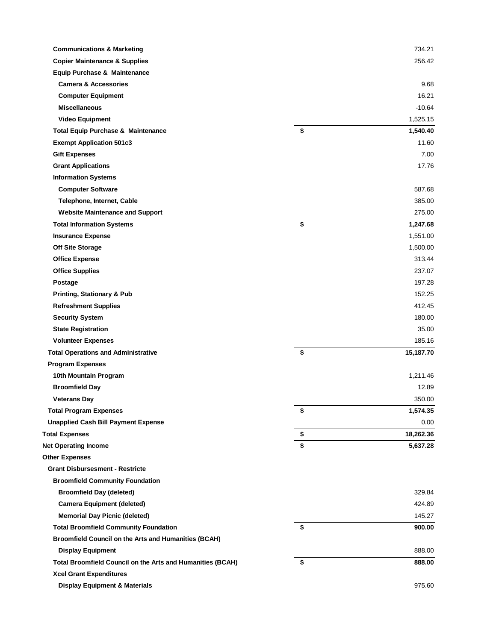| <b>Communications &amp; Marketing</b>                       | 734.21          |
|-------------------------------------------------------------|-----------------|
| <b>Copier Maintenance &amp; Supplies</b>                    | 256.42          |
| Equip Purchase & Maintenance                                |                 |
| <b>Camera &amp; Accessories</b>                             | 9.68            |
| <b>Computer Equipment</b>                                   | 16.21           |
| <b>Miscellaneous</b>                                        | $-10.64$        |
| <b>Video Equipment</b>                                      | 1,525.15        |
| <b>Total Equip Purchase &amp; Maintenance</b>               | \$<br>1,540.40  |
| <b>Exempt Application 501c3</b>                             | 11.60           |
| <b>Gift Expenses</b>                                        | 7.00            |
| <b>Grant Applications</b>                                   | 17.76           |
| <b>Information Systems</b>                                  |                 |
| <b>Computer Software</b>                                    | 587.68          |
| Telephone, Internet, Cable                                  | 385.00          |
| <b>Website Maintenance and Support</b>                      | 275.00          |
| <b>Total Information Systems</b>                            | \$<br>1,247.68  |
| <b>Insurance Expense</b>                                    | 1,551.00        |
| <b>Off Site Storage</b>                                     | 1,500.00        |
| <b>Office Expense</b>                                       | 313.44          |
| <b>Office Supplies</b>                                      | 237.07          |
| Postage                                                     | 197.28          |
| <b>Printing, Stationary &amp; Pub</b>                       | 152.25          |
| <b>Refreshment Supplies</b>                                 | 412.45          |
| <b>Security System</b>                                      | 180.00          |
| <b>State Registration</b>                                   | 35.00           |
| <b>Volunteer Expenses</b>                                   | 185.16          |
| <b>Total Operations and Administrative</b>                  | \$<br>15,187.70 |
| <b>Program Expenses</b>                                     |                 |
| 10th Mountain Program                                       | 1,211.46        |
| <b>Broomfield Day</b>                                       | 12.89           |
| <b>Veterans Day</b>                                         | 350.00          |
| <b>Total Program Expenses</b>                               | \$<br>1,574.35  |
| <b>Unapplied Cash Bill Payment Expense</b>                  | 0.00            |
| <b>Total Expenses</b>                                       | \$<br>18,262.36 |
| <b>Net Operating Income</b>                                 | \$<br>5,637.28  |
| <b>Other Expenses</b>                                       |                 |
| <b>Grant Disbursesment - Restricte</b>                      |                 |
| <b>Broomfield Community Foundation</b>                      |                 |
| <b>Broomfield Day (deleted)</b>                             | 329.84          |
| <b>Camera Equipment (deleted)</b>                           | 424.89          |
| <b>Memorial Day Picnic (deleted)</b>                        | 145.27          |
| <b>Total Broomfield Community Foundation</b>                | \$<br>900.00    |
| <b>Broomfield Council on the Arts and Humanities (BCAH)</b> |                 |
| <b>Display Equipment</b>                                    | 888.00          |
| Total Broomfield Council on the Arts and Humanities (BCAH)  | \$<br>888.00    |
| <b>Xcel Grant Expenditures</b>                              |                 |
| <b>Display Equipment &amp; Materials</b>                    | 975.60          |